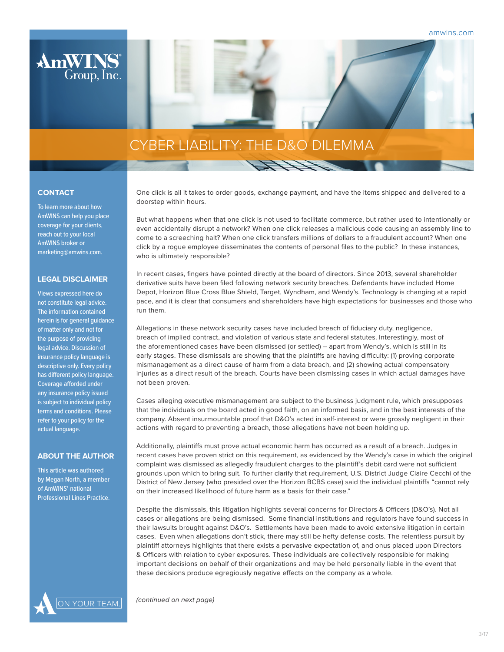amwins.com



# CYBER LIABILITY: THE D&O DILEMMA

# **CONTACT**

To learn more about how AmWINS can help you place coverage for your clients, reach out to your local AmWINS broker or marketing@amwins.com.

# **LEGAL DISCLAIMER**

Views expressed here do not constitute legal advice. The information contained herein is for general guidance of matter only and not for the purpose of providing legal advice. Discussion of insurance policy language is descriptive only. Every policy has different policy language. Coverage afforded under any insurance policy issued is subject to individual policy terms and conditions. Please refer to your policy for the actual language.

#### **ABOUT THE AUTHOR**

This article was authored by Megan North, a member of AmWINS' national Professional Lines Practice.

One click is all it takes to order goods, exchange payment, and have the items shipped and delivered to a doorstep within hours.

But what happens when that one click is not used to facilitate commerce, but rather used to intentionally or even accidentally disrupt a network? When one click releases a malicious code causing an assembly line to come to a screeching halt? When one click transfers millions of dollars to a fraudulent account? When one click by a rogue employee disseminates the contents of personal files to the public? In these instances, who is ultimately responsible?

In recent cases, fingers have pointed directly at the board of directors. Since 2013, several shareholder derivative suits have been filed following network security breaches. Defendants have included Home Depot, Horizon Blue Cross Blue Shield, Target, Wyndham, and Wendy's. Technology is changing at a rapid pace, and it is clear that consumers and shareholders have high expectations for businesses and those who run them.

Allegations in these network security cases have included breach of fiduciary duty, negligence, breach of implied contract, and violation of various state and federal statutes. Interestingly, most of the aforementioned cases have been dismissed (or settled) – apart from Wendy's, which is still in its early stages. These dismissals are showing that the plaintiffs are having difficulty: (1) proving corporate mismanagement as a direct cause of harm from a data breach, and (2) showing actual compensatory injuries as a direct result of the breach. Courts have been dismissing cases in which actual damages have not been proven.

Cases alleging executive mismanagement are subject to the business judgment rule, which presupposes that the individuals on the board acted in good faith, on an informed basis, and in the best interests of the company. Absent insurmountable proof that D&O's acted in self-interest or were grossly negligent in their actions with regard to preventing a breach, those allegations have not been holding up.

Additionally, plaintiffs must prove actual economic harm has occurred as a result of a breach. Judges in recent cases have proven strict on this requirement, as evidenced by the Wendy's case in which the original complaint was dismissed as allegedly fraudulent charges to the plaintiff's debit card were not sufficient grounds upon which to bring suit. To further clarify that requirement, U.S. District Judge Claire Cecchi of the District of New Jersey (who presided over the Horizon BCBS case) said the individual plaintiffs "cannot rely on their increased likelihood of future harm as a basis for their case."

Despite the dismissals, this litigation highlights several concerns for Directors & Officers (D&O's). Not all cases or allegations are being dismissed. Some financial institutions and regulators have found success in their lawsuits brought against D&O's. Settlements have been made to avoid extensive litigation in certain cases. Even when allegations don't stick, there may still be hefty defense costs. The relentless pursuit by plaintiff attorneys highlights that there exists a pervasive expectation of, and onus placed upon Directors & Officers with relation to cyber exposures. These individuals are collectively responsible for making important decisions on behalf of their organizations and may be held personally liable in the event that these decisions produce egregiously negative effects on the company as a whole.

 $\overline{Y\text{OUR TEAM}}$  (continued on next page)